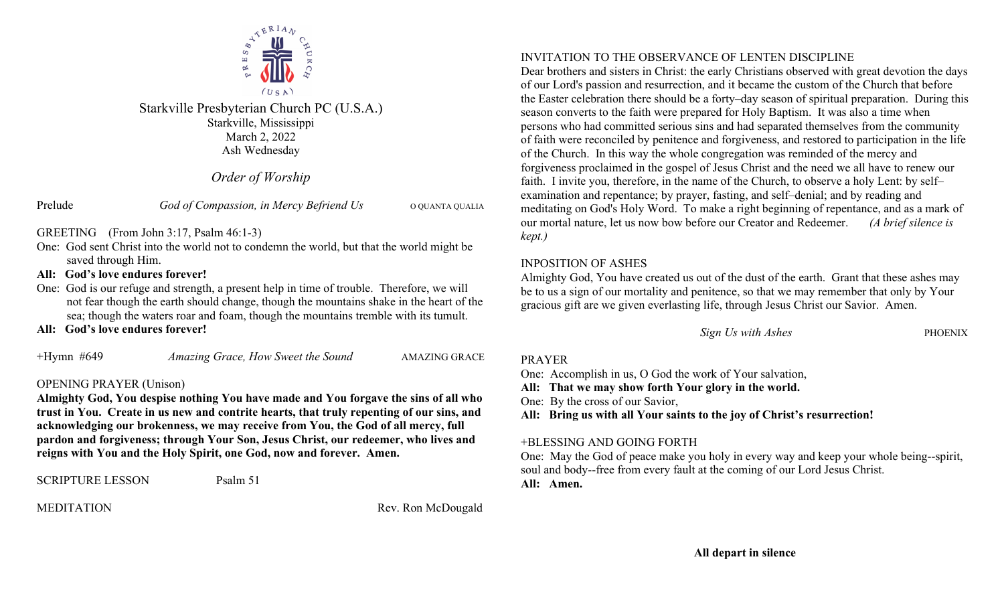

#### Starkville Presbyterian Church PC (U.S.A.) Starkville, Mississippi March 2, 2022 Ash Wednesday

## *Order of Worship*

Prelude *God of Compassion, in Mercy Befriend Us* O QUANTA QUALIA

GREETING (From John 3:17, Psalm 46:1-3)

One: God sent Christ into the world not to condemn the world, but that the world might be saved through Him.

#### **All: God's love endures forever!**

One: God is our refuge and strength, a present help in time of trouble. Therefore, we will not fear though the earth should change, though the mountains shake in the heart of the sea; though the waters roar and foam, though the mountains tremble with its tumult.

**All: God's love endures forever!**

|  | $+$ Hymn #649 | Amazing Grace, How Sweet the Sound | <b>AMAZING GRACE</b> |
|--|---------------|------------------------------------|----------------------|
|--|---------------|------------------------------------|----------------------|

### OPENING PRAYER (Unison)

**Almighty God, You despise nothing You have made and You forgave the sins of all who trust in You. Create in us new and contrite hearts, that truly repenting of our sins, and acknowledging our brokenness, we may receive from You, the God of all mercy, full pardon and forgiveness; through Your Son, Jesus Christ, our redeemer, who lives and reigns with You and the Holy Spirit, one God, now and forever. Amen.**

| <b>SCRIPTURE LESSON</b> | Psalm 51 |
|-------------------------|----------|
|                         |          |

MEDITATION Rev. Ron McDougald

#### INVITATION TO THE OBSERVANCE OF LENTEN DISCIPLINE

Dear brothers and sisters in Christ: the early Christians observed with great devotion the days of our Lord's passion and resurrection, and it became the custom of the Church that before the Easter celebration there should be a forty–day season of spiritual preparation. During this season converts to the faith were prepared for Holy Baptism. It was also a time when persons who had committed serious sins and had separated themselves from the community of faith were reconciled by penitence and forgiveness, and restored to participation in the life of the Church. In this way the whole congregation was reminded of the mercy and forgiveness proclaimed in the gospel of Jesus Christ and the need we all have to renew our faith. I invite you, therefore, in the name of the Church, to observe a holy Lent: by self– examination and repentance; by prayer, fasting, and self–denial; and by reading and meditating on God's Holy Word. To make a right beginning of repentance, and as a mark of our mortal nature, let us now bow before our Creator and Redeemer. *(A brief silence is kept.)*

#### INPOSITION OF ASHES

Almighty God, You have created us out of the dust of the earth. Grant that these ashes may be to us a sign of our mortality and penitence, so that we may remember that only by Your gracious gift are we given everlasting life, through Jesus Christ our Savior. Amen.

*Sign Us with Ashes* PHOENIX

#### PRAYER

One: Accomplish in us, O God the work of Your salvation,

**All: That we may show forth Your glory in the world.**

One: By the cross of our Savior,

**All: Bring us with all Your saints to the joy of Christ's resurrection!**

#### +BLESSING AND GOING FORTH

One: May the God of peace make you holy in every way and keep your whole being--spirit, soul and body--free from every fault at the coming of our Lord Jesus Christ.

**All: Amen.**

**All depart in silence**